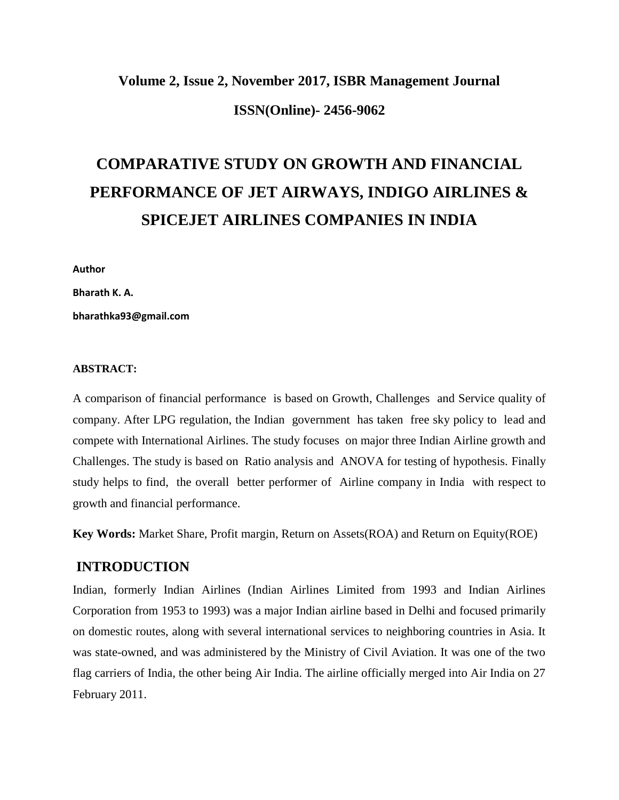# **Volume 2, Issue 2, November 2017, ISBR Management Journal ISSN(Online)- 2456-9062**

# **COMPARATIVE STUDY ON GROWTH AND FINANCIAL PERFORMANCE OF JET AIRWAYS, INDIGO AIRLINES & SPICEJET AIRLINES COMPANIES IN INDIA**

**Author**

**Bharath K. A.**

**bharathka93@gmail.com**

#### **ABSTRACT:**

A comparison of financial performance is based on Growth, Challenges and Service quality of company. After LPG regulation, the Indian government has taken free sky policy to lead and compete with International Airlines. The study focuses on major three Indian Airline growth and Challenges. The study is based on Ratio analysis and ANOVA for testing of hypothesis. Finally study helps to find, the overall better performer of Airline company in India with respect to growth and financial performance.

**Key Words:** Market Share, Profit margin, Return on Assets(ROA) and Return on Equity(ROE)

#### **INTRODUCTION**

Indian, formerly Indian Airlines (Indian Airlines Limited from 1993 and Indian Airlines Corporation from 1953 to 1993) was a major Indian airline based in Delhi and focused primarily on domestic routes, along with several international services to neighboring countries in Asia. It was state-owned, and was administered by the Ministry of Civil Aviation. It was one of the two flag carriers of India, the other being Air India. The airline officially merged into Air India on 27 February 2011.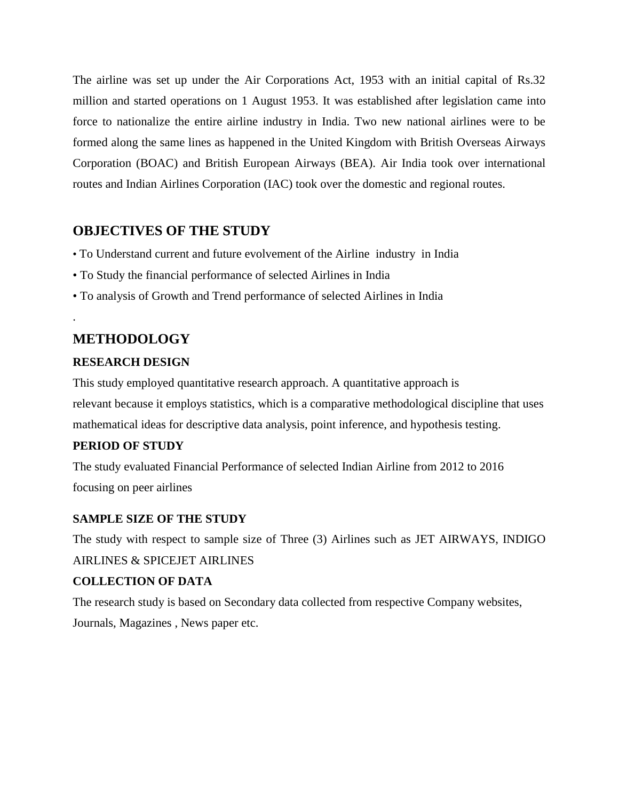The airline was set up under the Air Corporations Act, 1953 with an initial capital of Rs.32 million and started operations on 1 August 1953. It was established after legislation came into force to nationalize the entire airline industry in India. Two new national airlines were to be formed along the same lines as happened in the United Kingdom with British Overseas Airways Corporation (BOAC) and British European Airways (BEA). Air India took over international routes and Indian Airlines Corporation (IAC) took over the domestic and regional routes.

## **OBJECTIVES OF THE STUDY**

- To Understand current and future evolvement of the Airline industry in India
- To Study the financial performance of selected Airlines in India
- To analysis of Growth and Trend performance of selected Airlines in India

# **METHODOLOGY**

.

#### **RESEARCH DESIGN**

This study employed quantitative research approach. A quantitative approach is relevant because it employs statistics, which is a comparative methodological discipline that uses mathematical ideas for descriptive data analysis, point inference, and hypothesis testing.

#### **PERIOD OF STUDY**

The study evaluated Financial Performance of selected Indian Airline from 2012 to 2016 focusing on peer airlines

#### **SAMPLE SIZE OF THE STUDY**

The study with respect to sample size of Three (3) Airlines such as JET AIRWAYS, INDIGO AIRLINES & SPICEJET AIRLINES

#### **COLLECTION OF DATA**

The research study is based on Secondary data collected from respective Company websites, Journals, Magazines , News paper etc.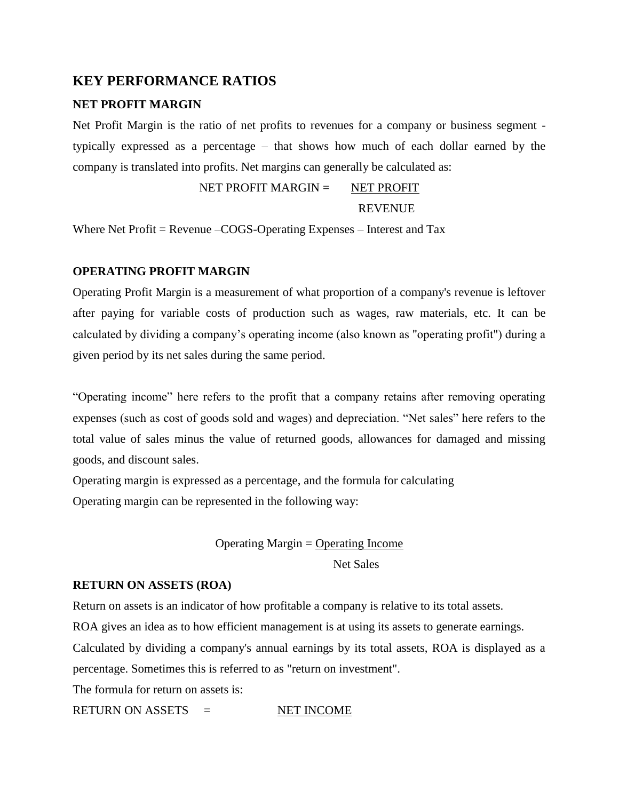## **KEY PERFORMANCE RATIOS**

#### **NET PROFIT MARGIN**

Net Profit Margin is the ratio of net profits to revenues for a company or business segment typically expressed as a percentage – that shows how much of each dollar earned by the company is translated into profits. Net margins can generally be calculated as:

> NET PROFIT MARGIN  $=$  NET PROFIT **REVENUE**

Where Net Profit = Revenue –COGS-Operating Expenses – Interest and Tax

#### **OPERATING PROFIT MARGIN**

Operating Profit Margin is a measurement of what proportion of a company's revenue is leftover after paying for variable costs of production such as wages, raw materials, etc. It can be calculated by dividing a company's operating income (also known as "operating profit") during a given period by its net sales during the same period.

"Operating income" here refers to the profit that a company retains after removing operating expenses (such as cost of goods sold and wages) and depreciation. "Net sales" here refers to the total value of sales minus the value of returned goods, allowances for damaged and missing goods, and discount sales.

Operating margin is expressed as a percentage, and the formula for calculating Operating margin can be represented in the following way:

#### Operating Margin  $=$  Operating Income

Net Sales

#### **RETURN ON ASSETS (ROA)**

Return on assets is an indicator of how profitable a company is relative to its total assets.

ROA gives an idea as to how efficient management is at using its assets to generate earnings.

Calculated by dividing a company's annual earnings by its total assets, ROA is displayed as a percentage. Sometimes this is referred to as "return on investment".

The formula for return on assets is:

RETURN ON ASSETS = NET INCOME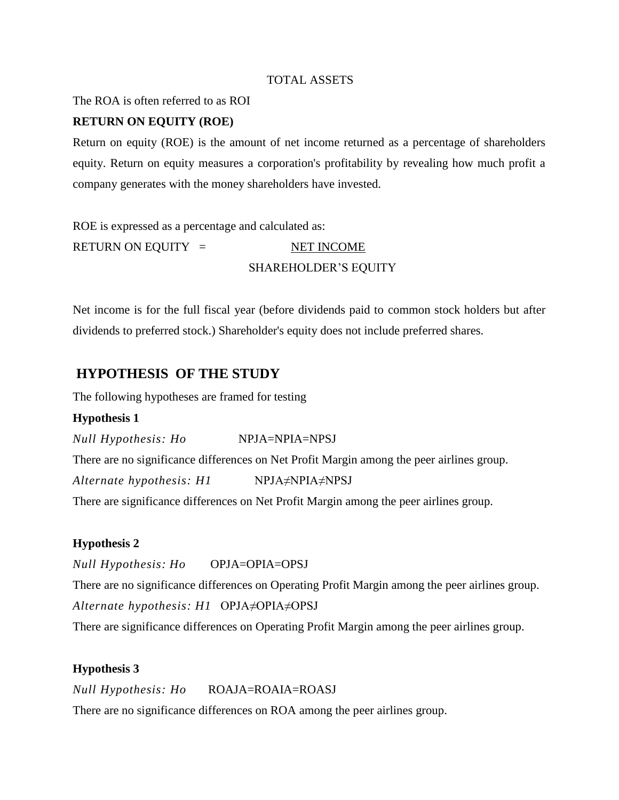#### TOTAL ASSETS

The ROA is often referred to as ROI

#### **RETURN ON EQUITY (ROE)**

Return on equity (ROE) is the amount of net income returned as a percentage of shareholders equity. Return on equity measures a corporation's profitability by revealing how much profit a company generates with the money shareholders have invested.

ROE is expressed as a percentage and calculated as: RETURN ON EQUITY = NET INCOME SHAREHOLDER'S EQUITY

Net income is for the full fiscal year (before dividends paid to common stock holders but after dividends to preferred stock.) Shareholder's equity does not include preferred shares.

## **HYPOTHESIS OF THE STUDY**

The following hypotheses are framed for testing

#### **Hypothesis 1**

*Null Hypothesis: Ho* NPJA=NPIA=NPSJ

There are no significance differences on Net Profit Margin among the peer airlines group.

*Alternate hypothesis: H1* NPJA≠NPIA≠NPSJ

There are significance differences on Net Profit Margin among the peer airlines group.

#### **Hypothesis 2**

*Null Hypothesis: Ho* OPJA=OPIA=OPSJ

There are no significance differences on Operating Profit Margin among the peer airlines group. *Alternate hypothesis: H1* OPJA≠OPIA≠OPSJ

There are significance differences on Operating Profit Margin among the peer airlines group.

#### **Hypothesis 3**

*Null Hypothesis: Ho* ROAJA=ROAIA=ROASJ

There are no significance differences on ROA among the peer airlines group.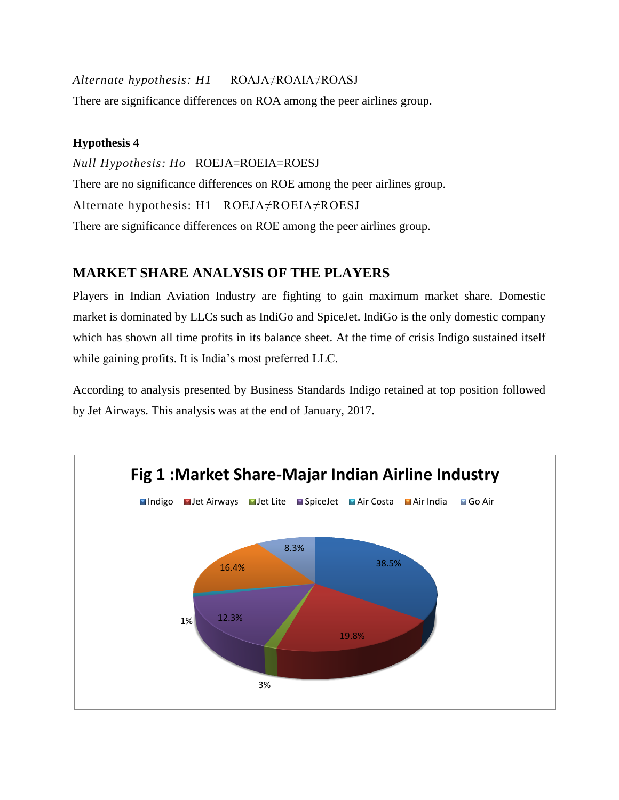*Alternate hypothesis: H1* ROAJA≠ROAIA≠ROASJ There are significance differences on ROA among the peer airlines group.

## **Hypothesis 4**

*Null Hypothesis: Ho* ROEJA=ROEIA=ROESJ There are no significance differences on ROE among the peer airlines group. Alternate hypothesis: H1ROEJA≠ROEIA≠ROESJ There are significance differences on ROE among the peer airlines group.

# **MARKET SHARE ANALYSIS OF THE PLAYERS**

Players in Indian Aviation Industry are fighting to gain maximum market share. Domestic market is dominated by LLCs such as IndiGo and SpiceJet. IndiGo is the only domestic company which has shown all time profits in its balance sheet. At the time of crisis Indigo sustained itself while gaining profits. It is India's most preferred LLC.

According to analysis presented by Business Standards Indigo retained at top position followed by Jet Airways. This analysis was at the end of January, 2017.

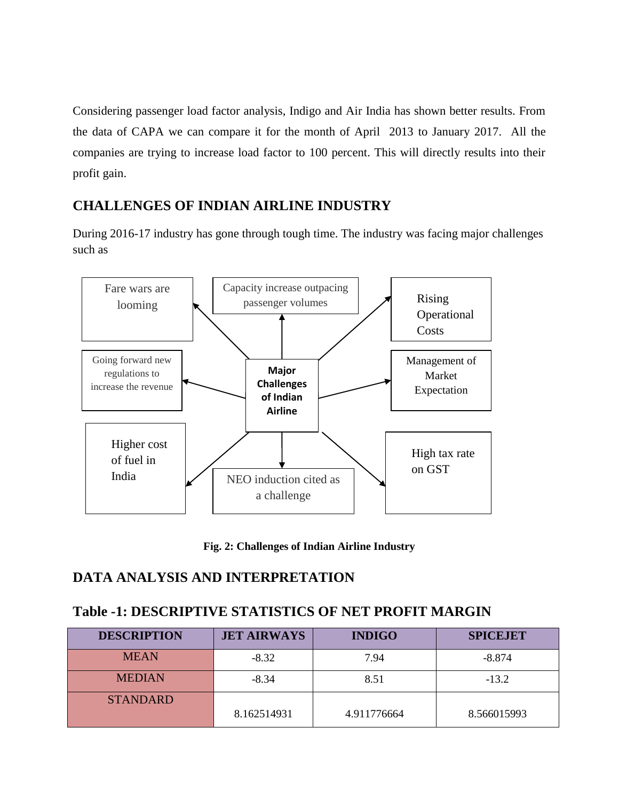Considering passenger load factor analysis, Indigo and Air India has shown better results. From the data of CAPA we can compare it for the month of April 2013 to January 2017. All the companies are trying to increase load factor to 100 percent. This will directly results into their profit gain.

# **CHALLENGES OF INDIAN AIRLINE INDUSTRY**

During 2016-17 industry has gone through tough time. The industry was facing major challenges such as



**Fig. 2: Challenges of Indian Airline Industry**

# **DATA ANALYSIS AND INTERPRETATION**

# **Table -1: DESCRIPTIVE STATISTICS OF NET PROFIT MARGIN**

| <b>DESCRIPTION</b> | <b>JET AIRWAYS</b> | <b>INDIGO</b> | <b>SPICEJET</b> |  |
|--------------------|--------------------|---------------|-----------------|--|
| <b>MEAN</b>        | $-8.32$            | 7.94          | $-8.874$        |  |
| <b>MEDIAN</b>      | $-8.34$            | 8.51          | $-13.2$         |  |
| <b>STANDARD</b>    | 8.162514931        | 4.911776664   | 8.566015993     |  |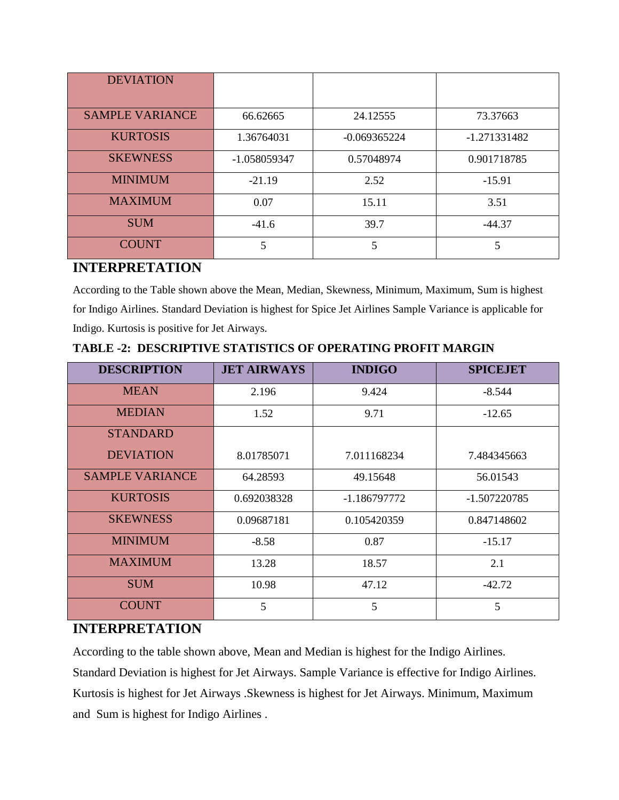| <b>DEVIATION</b>       |              |                |              |
|------------------------|--------------|----------------|--------------|
| <b>SAMPLE VARIANCE</b> | 66.62665     | 24.12555       | 73.37663     |
| <b>KURTOSIS</b>        | 1.36764031   | $-0.069365224$ | -1.271331482 |
| <b>SKEWNESS</b>        | -1.058059347 | 0.57048974     | 0.901718785  |
| <b>MINIMUM</b>         | $-21.19$     | 2.52           | $-15.91$     |
| <b>MAXIMUM</b>         | 0.07         | 15.11          | 3.51         |
| <b>SUM</b>             | $-41.6$      | 39.7           | $-44.37$     |
| <b>COUNT</b>           | 5            | 5              | 5            |

## **INTERPRETATION**

According to the Table shown above the Mean, Median, Skewness, Minimum, Maximum, Sum is highest for Indigo Airlines. Standard Deviation is highest for Spice Jet Airlines Sample Variance is applicable for Indigo. Kurtosis is positive for Jet Airways.

| <b>DESCRIPTION</b>     | <b>JET AIRWAYS</b> | <b>INDIGO</b> | <b>SPICEJET</b> |  |
|------------------------|--------------------|---------------|-----------------|--|
| <b>MEAN</b>            | 2.196              | 9.424         | $-8.544$        |  |
| <b>MEDIAN</b>          | 1.52               | 9.71          | $-12.65$        |  |
| <b>STANDARD</b>        |                    |               |                 |  |
| <b>DEVIATION</b>       | 8.01785071         | 7.011168234   | 7.484345663     |  |
| <b>SAMPLE VARIANCE</b> | 64.28593           | 49.15648      | 56.01543        |  |
| <b>KURTOSIS</b>        | 0.692038328        | -1.186797772  | $-1.507220785$  |  |
| <b>SKEWNESS</b>        | 0.09687181         | 0.105420359   | 0.847148602     |  |
| <b>MINIMUM</b>         | $-8.58$            | 0.87          | $-15.17$        |  |
| <b>MAXIMUM</b>         | 13.28              | 18.57         | 2.1             |  |
| <b>SUM</b>             | 10.98              | 47.12         | $-42.72$        |  |
| <b>COUNT</b>           | 5                  | 5             | 5               |  |

**TABLE -2: DESCRIPTIVE STATISTICS OF OPERATING PROFIT MARGIN**

# **INTERPRETATION**

According to the table shown above, Mean and Median is highest for the Indigo Airlines.

Standard Deviation is highest for Jet Airways. Sample Variance is effective for Indigo Airlines. Kurtosis is highest for Jet Airways .Skewness is highest for Jet Airways. Minimum, Maximum and Sum is highest for Indigo Airlines .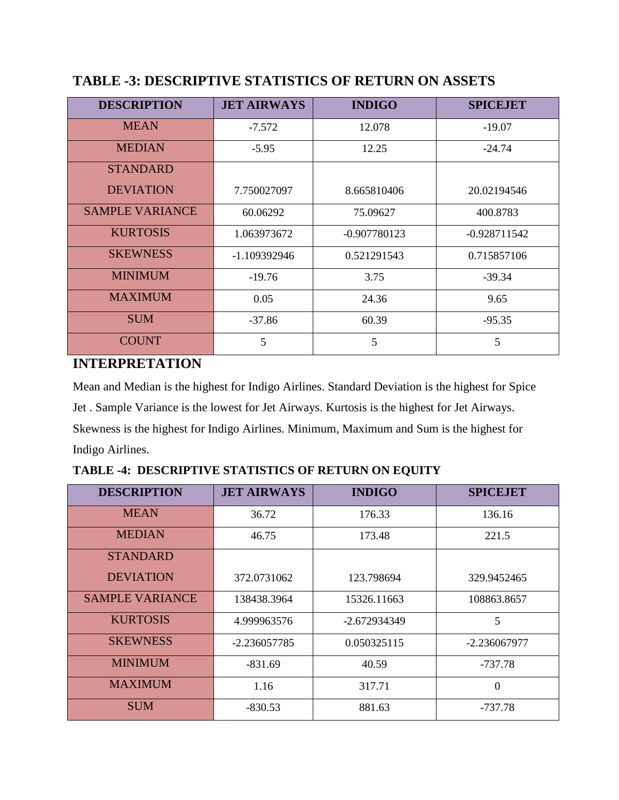| <b>DESCRIPTION</b>     | <b>JET AIRWAYS</b> | <b>INDIGO</b>  | <b>SPICEJET</b> |  |
|------------------------|--------------------|----------------|-----------------|--|
| <b>MEAN</b>            | $-7.572$           | 12.078         | $-19.07$        |  |
| <b>MEDIAN</b>          | $-5.95$            | 12.25          | $-24.74$        |  |
| <b>STANDARD</b>        |                    |                |                 |  |
| <b>DEVIATION</b>       | 7.750027097        | 8.665810406    | 20.02194546     |  |
| <b>SAMPLE VARIANCE</b> | 60.06292           | 75.09627       | 400.8783        |  |
| <b>KURTOSIS</b>        | 1.063973672        | $-0.907780123$ | $-0.928711542$  |  |
| <b>SKEWNESS</b>        | -1.109392946       | 0.521291543    | 0.715857106     |  |
| <b>MINIMUM</b>         | $-19.76$           | 3.75           | $-39.34$        |  |
| <b>MAXIMUM</b>         | 0.05               | 24.36          | 9.65            |  |
| <b>SUM</b>             | $-37.86$           | 60.39          | $-95.35$        |  |
| <b>COUNT</b>           | 5                  | 5              | 5               |  |

# **TABLE -3: DESCRIPTIVE STATISTICS OF RETURN ON ASSETS**

# **INTERPRETATION**

Mean and Median is the highest for Indigo Airlines. Standard Deviation is the highest for Spice Jet . Sample Variance is the lowest for Jet Airways. Kurtosis is the highest for Jet Airways. Skewness is the highest for Indigo Airlines. Minimum, Maximum and Sum is the highest for Indigo Airlines.

**TABLE -4: DESCRIPTIVE STATISTICS OF RETURN ON EQUITY** 

| <b>DESCRIPTION</b>     | <b>JET AIRWAYS</b> | <b>INDIGO</b> | <b>SPICEJET</b> |  |
|------------------------|--------------------|---------------|-----------------|--|
| <b>MEAN</b>            | 36.72              | 176.33        | 136.16          |  |
| <b>MEDIAN</b>          | 46.75              | 173.48        | 221.5           |  |
| <b>STANDARD</b>        |                    |               |                 |  |
| <b>DEVIATION</b>       | 372.0731062        | 123.798694    | 329.9452465     |  |
| <b>SAMPLE VARIANCE</b> | 138438.3964        | 15326.11663   | 108863.8657     |  |
| <b>KURTOSIS</b>        | 4.999963576        | -2.672934349  | 5               |  |
| <b>SKEWNESS</b>        | $-2.236057785$     | 0.050325115   | $-2.236067977$  |  |
| <b>MINIMUM</b>         | $-831.69$          | 40.59         | -737.78         |  |
| <b>MAXIMUM</b>         | 1.16               | 317.71        | $\theta$        |  |
| <b>SUM</b>             | $-830.53$          | 881.63        | -737.78         |  |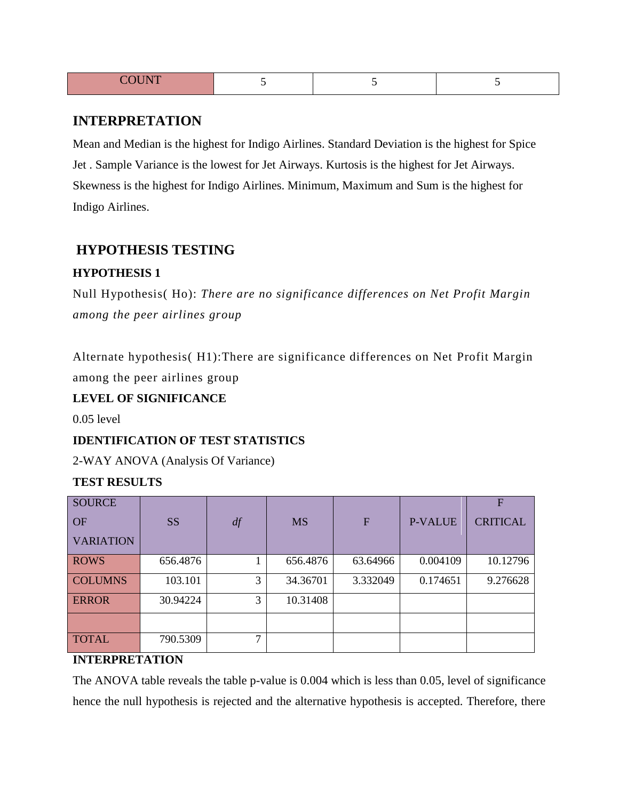| CCTM<br>n |  |  |
|-----------|--|--|
|           |  |  |

## **INTERPRETATION**

Mean and Median is the highest for Indigo Airlines. Standard Deviation is the highest for Spice Jet . Sample Variance is the lowest for Jet Airways. Kurtosis is the highest for Jet Airways. Skewness is the highest for Indigo Airlines. Minimum, Maximum and Sum is the highest for Indigo Airlines.

## **HYPOTHESIS TESTING**

#### **HYPOTHESIS 1**

Null Hypothesis( Ho): *There are no significance differences on Net Profit Margin among the peer airlines group*

Alternate hypothesis( H1):There are significance differences on Net Profit Margin among the peer airlines group

#### **LEVEL OF SIGNIFICANCE**

0.05 level

## **IDENTIFICATION OF TEST STATISTICS**

2-WAY ANOVA (Analysis Of Variance)

#### **TEST RESULTS**

| <b>SOURCE</b>    |           |               |           |                |                | F               |
|------------------|-----------|---------------|-----------|----------------|----------------|-----------------|
| <b>OF</b>        | <b>SS</b> | df            | <b>MS</b> | $\overline{F}$ | <b>P-VALUE</b> | <b>CRITICAL</b> |
| <b>VARIATION</b> |           |               |           |                |                |                 |
| <b>ROWS</b>      | 656.4876  |               | 656.4876  | 63.64966       | 0.004109       | 10.12796        |
| <b>COLUMNS</b>   | 103.101   | 3             | 34.36701  | 3.332049       | 0.174651       | 9.276628        |
| <b>ERROR</b>     | 30.94224  | 3             | 10.31408  |                |                |                 |
|                  |           |               |           |                |                |                 |
| <b>TOTAL</b>     | 790.5309  | $\mathcal{I}$ |           |                |                |                 |

#### **INTERPRETATION**

The ANOVA table reveals the table p-value is 0.004 which is less than 0.05, level of significance hence the null hypothesis is rejected and the alternative hypothesis is accepted. Therefore, there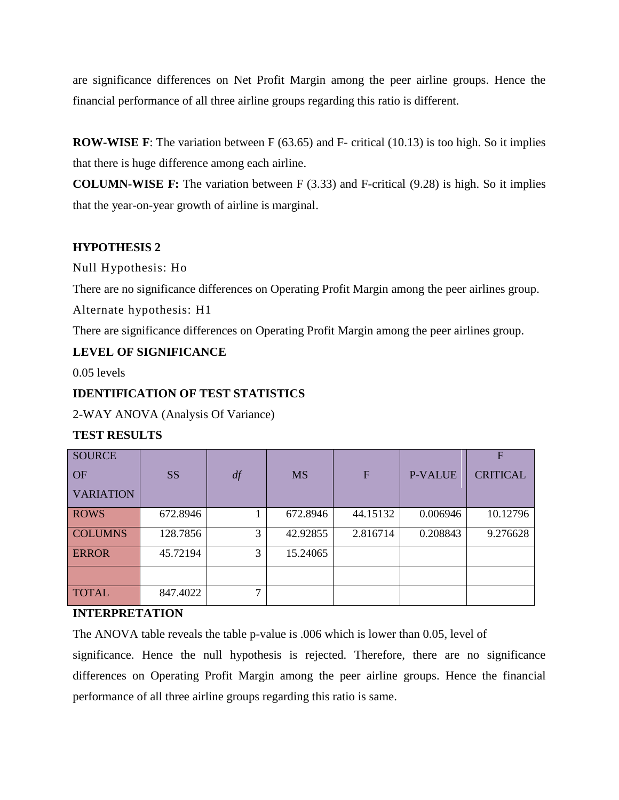are significance differences on Net Profit Margin among the peer airline groups. Hence the financial performance of all three airline groups regarding this ratio is different.

**ROW-WISE F**: The variation between F (63.65) and F- critical (10.13) is too high. So it implies that there is huge difference among each airline.

**COLUMN-WISE F:** The variation between F (3.33) and F-critical (9.28) is high. So it implies that the year-on-year growth of airline is marginal.

#### **HYPOTHESIS 2**

Null Hypothesis: Ho

There are no significance differences on Operating Profit Margin among the peer airlines group.

Alternate hypothesis: H1

There are significance differences on Operating Profit Margin among the peer airlines group.

## **LEVEL OF SIGNIFICANCE**

0.05 levels

## **IDENTIFICATION OF TEST STATISTICS**

2-WAY ANOVA (Analysis Of Variance)

## **TEST RESULTS**

| <b>SOURCE</b><br><b>OF</b><br><b>VARIATION</b> | <b>SS</b> | df            | <b>MS</b> | $\overline{F}$ | <b>P-VALUE</b> | F<br><b>CRITICAL</b> |
|------------------------------------------------|-----------|---------------|-----------|----------------|----------------|----------------------|
| <b>ROWS</b>                                    | 672.8946  |               | 672.8946  | 44.15132       | 0.006946       | 10.12796             |
| <b>COLUMNS</b>                                 | 128.7856  | 3             | 42.92855  | 2.816714       | 0.208843       | 9.276628             |
| <b>ERROR</b>                                   | 45.72194  | 3             | 15.24065  |                |                |                      |
|                                                |           |               |           |                |                |                      |
| <b>TOTAL</b>                                   | 847.4022  | $\mathcal{I}$ |           |                |                |                      |

## **INTERPRETATION**

The ANOVA table reveals the table p-value is .006 which is lower than 0.05, level of

significance. Hence the null hypothesis is rejected. Therefore, there are no significance differences on Operating Profit Margin among the peer airline groups. Hence the financial performance of all three airline groups regarding this ratio is same.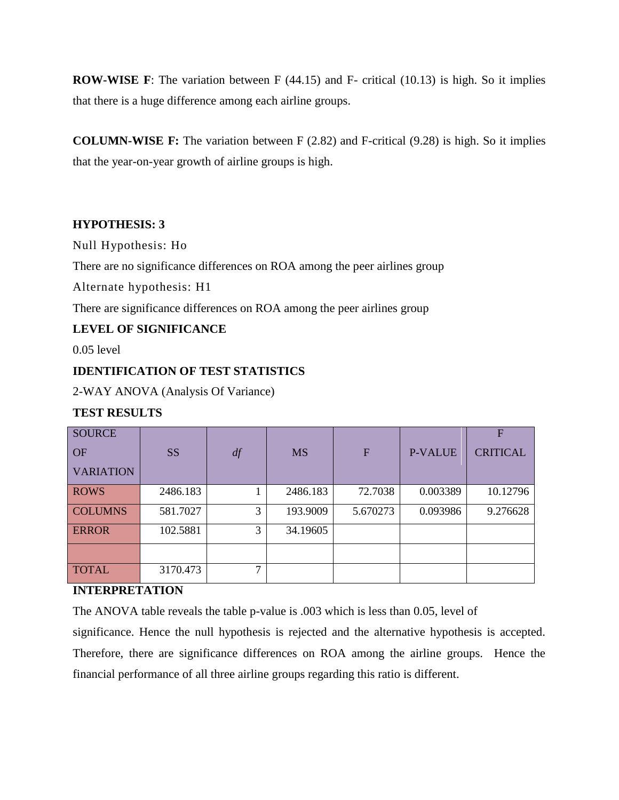**ROW-WISE F**: The variation between F (44.15) and F- critical (10.13) is high. So it implies that there is a huge difference among each airline groups.

**COLUMN-WISE F:** The variation between F (2.82) and F-critical (9.28) is high. So it implies that the year-on-year growth of airline groups is high.

#### **HYPOTHESIS: 3**

Null Hypothesis: Ho

There are no significance differences on ROA among the peer airlines group

Alternate hypothesis: H1

There are significance differences on ROA among the peer airlines group

## **LEVEL OF SIGNIFICANCE**

0.05 level

#### **IDENTIFICATION OF TEST STATISTICS**

2-WAY ANOVA (Analysis Of Variance)

## **TEST RESULTS**

| <b>SOURCE</b>    |           |               |           |             |                | F               |
|------------------|-----------|---------------|-----------|-------------|----------------|-----------------|
| <b>OF</b>        | <b>SS</b> | df            | <b>MS</b> | $\mathbf F$ | <b>P-VALUE</b> | <b>CRITICAL</b> |
| <b>VARIATION</b> |           |               |           |             |                |                 |
| <b>ROWS</b>      | 2486.183  |               | 2486.183  | 72.7038     | 0.003389       | 10.12796        |
| <b>COLUMNS</b>   | 581.7027  | 3             | 193.9009  | 5.670273    | 0.093986       | 9.276628        |
| <b>ERROR</b>     | 102.5881  | 3             | 34.19605  |             |                |                 |
|                  |           |               |           |             |                |                 |
| <b>TOTAL</b>     | 3170.473  | $\mathcal{I}$ |           |             |                |                 |

#### **INTERPRETATION**

The ANOVA table reveals the table p-value is .003 which is less than 0.05, level of

significance. Hence the null hypothesis is rejected and the alternative hypothesis is accepted. Therefore, there are significance differences on ROA among the airline groups. Hence the financial performance of all three airline groups regarding this ratio is different.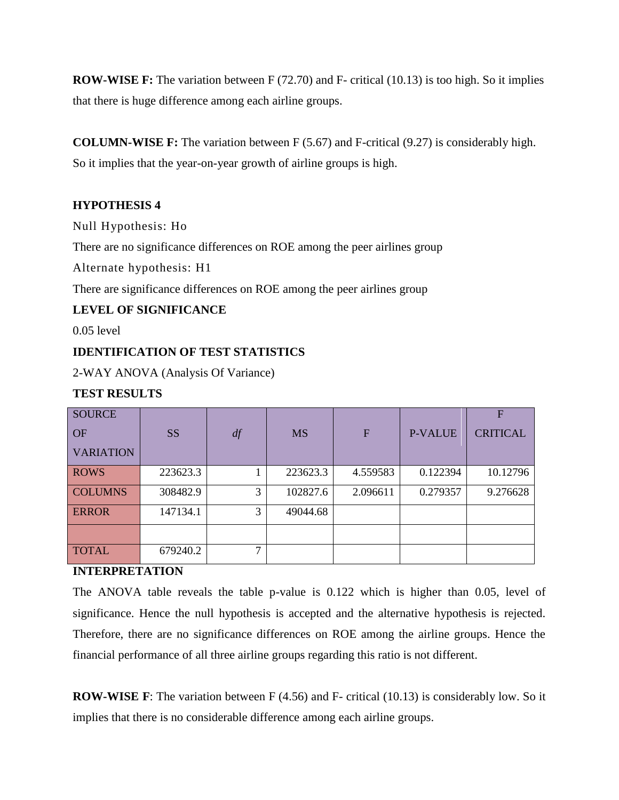**ROW-WISE F:** The variation between F (72.70) and F- critical (10.13) is too high. So it implies that there is huge difference among each airline groups.

**COLUMN-WISE F:** The variation between F (5.67) and F-critical (9.27) is considerably high.

So it implies that the year-on-year growth of airline groups is high.

## **HYPOTHESIS 4**

Null Hypothesis: Ho

There are no significance differences on ROE among the peer airlines group

Alternate hypothesis: H1

There are significance differences on ROE among the peer airlines group

## **LEVEL OF SIGNIFICANCE**

0.05 level

## **IDENTIFICATION OF TEST STATISTICS**

2-WAY ANOVA (Analysis Of Variance)

## **TEST RESULTS**

| <b>SOURCE</b><br><b>OF</b><br><b>VARIATION</b> | <b>SS</b> | df            | <b>MS</b> | $\overline{F}$ | <b>P-VALUE</b> | F<br><b>CRITICAL</b> |
|------------------------------------------------|-----------|---------------|-----------|----------------|----------------|----------------------|
| <b>ROWS</b>                                    | 223623.3  |               | 223623.3  | 4.559583       | 0.122394       | 10.12796             |
| <b>COLUMNS</b>                                 | 308482.9  | 3             | 102827.6  | 2.096611       | 0.279357       | 9.276628             |
| <b>ERROR</b>                                   | 147134.1  | 3             | 49044.68  |                |                |                      |
|                                                |           |               |           |                |                |                      |
| <b>TOTAL</b>                                   | 679240.2  | $\mathcal{I}$ |           |                |                |                      |

#### **INTERPRETATION**

The ANOVA table reveals the table p-value is 0.122 which is higher than 0.05, level of significance. Hence the null hypothesis is accepted and the alternative hypothesis is rejected. Therefore, there are no significance differences on ROE among the airline groups. Hence the financial performance of all three airline groups regarding this ratio is not different.

**ROW-WISE F**: The variation between F (4.56) and F- critical (10.13) is considerably low. So it implies that there is no considerable difference among each airline groups.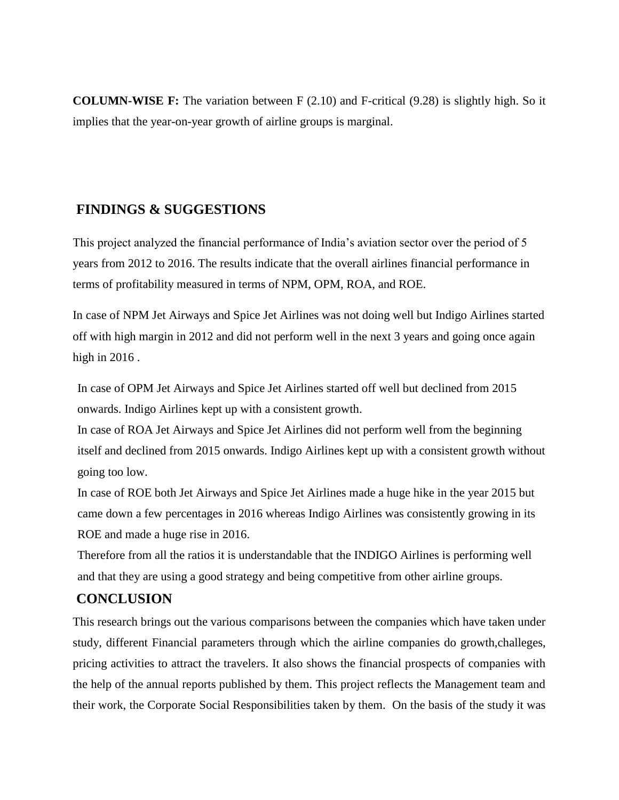**COLUMN-WISE F:** The variation between F (2.10) and F-critical (9.28) is slightly high. So it implies that the year-on-year growth of airline groups is marginal.

# **FINDINGS & SUGGESTIONS**

This project analyzed the financial performance of India's aviation sector over the period of 5 years from 2012 to 2016. The results indicate that the overall airlines financial performance in terms of profitability measured in terms of NPM, OPM, ROA, and ROE.

In case of NPM Jet Airways and Spice Jet Airlines was not doing well but Indigo Airlines started off with high margin in 2012 and did not perform well in the next 3 years and going once again high in 2016 .

In case of OPM Jet Airways and Spice Jet Airlines started off well but declined from 2015 onwards. Indigo Airlines kept up with a consistent growth.

In case of ROA Jet Airways and Spice Jet Airlines did not perform well from the beginning itself and declined from 2015 onwards. Indigo Airlines kept up with a consistent growth without going too low.

In case of ROE both Jet Airways and Spice Jet Airlines made a huge hike in the year 2015 but came down a few percentages in 2016 whereas Indigo Airlines was consistently growing in its ROE and made a huge rise in 2016.

Therefore from all the ratios it is understandable that the INDIGO Airlines is performing well and that they are using a good strategy and being competitive from other airline groups.

# **CONCLUSION**

This research brings out the various comparisons between the companies which have taken under study, different Financial parameters through which the airline companies do growth,challeges, pricing activities to attract the travelers. It also shows the financial prospects of companies with the help of the annual reports published by them. This project reflects the Management team and their work, the Corporate Social Responsibilities taken by them. On the basis of the study it was